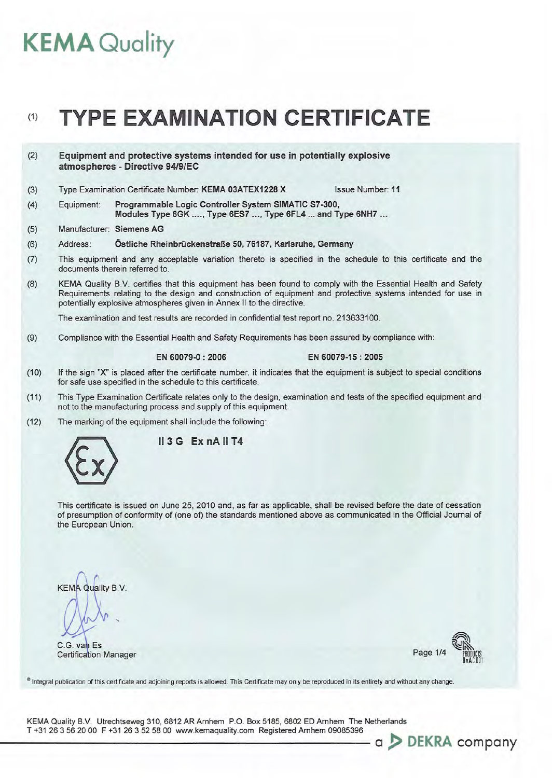# **KEMA Quality**

# (1) **TYPE EXAMINATION CERTIFICATE**

(2) Equipment and protective systems intended for use in potentially explosive atmospheres - Directive *94/9/EC* 

(3) Type Examination Certificate Number: KEMA 03ATEX1228 X Issue Number: 11

- (4) Equipment: Programmable Logic Controller System SIMATIC S7-300, Modules Type 6GK .... , Type 6ES7 ... , Type 6FL4 ... and Type 6NH7 ...
- (5) Manufacturer: Siemens AG
- (6) Address: Östliche Rheinbrückenstraße 50, 76187, Karlsruhe, Germany
- (7) This equipment and any acceptable variation thereto is specified in the schedule to this certificate and the documents therein referred to.
- (8) KEMA Quality BV. certifies that this equipment has been found to comply with the Essential Health and Safety Requirements relating to the design and construction of equipment and protective systems intended for use in potentially explosive atmospheres given in Annex II to the directive.

The examination and test results are recorded in confidential test report no. 213633100.

(9) Compliance with the Essential Health and Safety Requirements has been assured by compliance with:

EN 60079-0 : 2006 EN 60079-15 : 2005

- (10) If the sign "X" is placed after the certificate number, it indicates that the equipment is subject to special conditions for safe use specified in the schedule to this certificate.
- (11) This Type Examination Certificate relates only to the design, examination and tests of the specified equipment and not to the manufacturing process and supply of this equipment.
- (12) The marking of the equipment shall include the following:



 $II$  3 G Ex nA  $II$  T4

This certificate is issued on June 25, 2010 and, as far as applicable, shall be revised before the date of cessation of presumption of conformity of (one of) the standards mentioned above as communicated in the Official Journal of the European Union.

**KEMA Quality B.V.** 

C.G. van Es **Certification Manager** 



- a > DEKRA company

<sup>®</sup> Integral publication of this certificate and adjoining reports is allowed. This Certificate may only be reproduced in its entirety and without any change.

KEMA Quality B.v. Utrechtseweg 310, 6812 AR Arnhem P.O. Box 5185, 6802 ED Arnhem The Netherlands T +31 263562000 F +31 263525800 www.kemaquality.com Registered Arnhem 09085396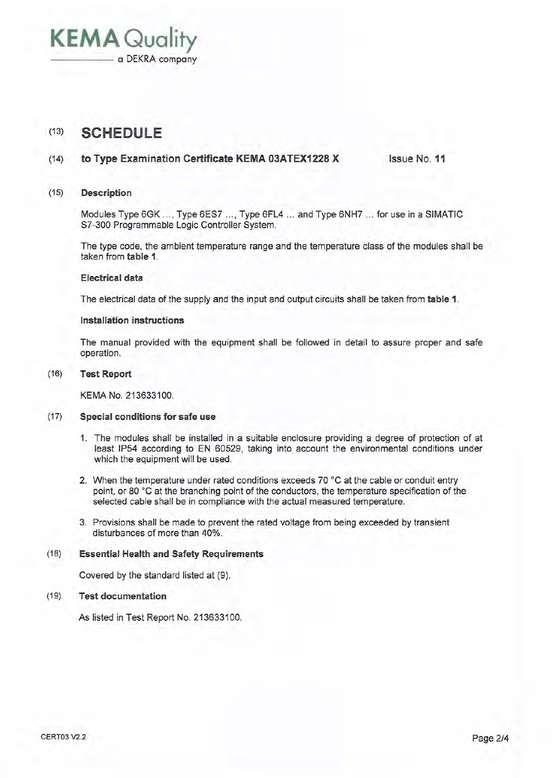**KEMA** Quality

## (13) **SCHEDULE**

#### (14) **to Type Examination Certificate KEMA 03ATEX1228 X** Issue No. **11**

#### (15) **Description**

Modules Type 6GK ..., Type 6ES7 ..., Type 6FL4 ... and Type 6NH7 ... for use in a SIMATIC S7-300 Programmable Logic Controller System.

The type code, the ambient temperature range and the temperature class of the modules shall be taken from **table 1.** 

#### **Electrical data**

The electrical data of the supply and the input and output circuits shall be taken from **table 1.** 

#### **Installation instructions**

The manual provided with the equipment shall be followed in detail to assure proper and safe operation.

#### (16) **Test Report**

KEMA No. 213633100.

#### (17) **Special conditions for safe use**

- 1. The modules shall be installed in a suitable enclosure providing a degree of protection of at least IP54 according to EN 60529, taking into account the environmental conditions under which the equipment will be used.
- 2. When the temperature under rated conditions exceeds 70 °C at the cable or conduit entry point, or 80 °C at the branching point of the conductors, the temperature specification of the selected cable shall be in compliance with the actual measured temperature.
- 3. Provisions shall be made to prevent the rated voltage from being exceeded by transient disturbances of more than 40%.

#### (18) **Essential Health and Safety Requirements**

Covered by the standard listed at (9).

#### (19) **Test documentation**

As listed in Test Report No. 213633100.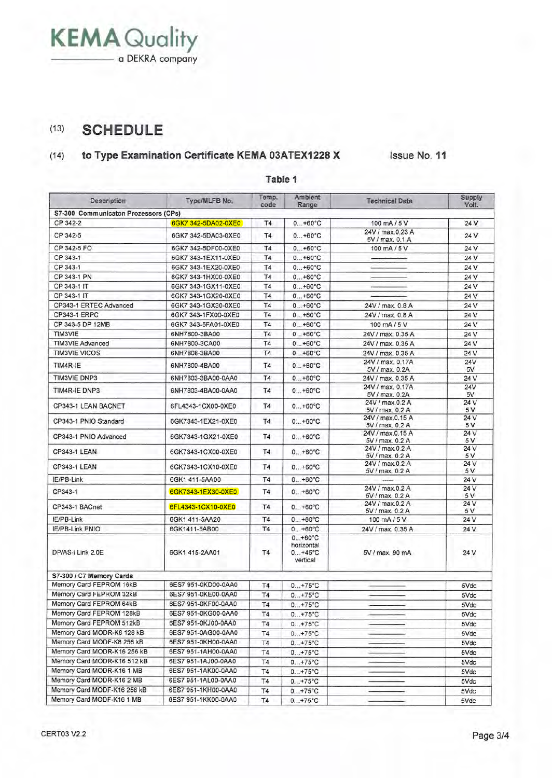## (13) **SCHEDULE**

## (14) **to Type Examination Certificate KEMA 03ATEX1228 X** Issue No. **11**

| Description                          | Type/MLFB No.       | Temp.<br>code  | Ambient<br>Range                                       | <b>Technical Data</b>               | Supply<br>Volt. |
|--------------------------------------|---------------------|----------------|--------------------------------------------------------|-------------------------------------|-----------------|
| S7-300 Communicaton Prozessors (CPs) |                     |                |                                                        |                                     |                 |
| CP 342-2                             | 6GK7 342-5DA02-0XE0 | <b>T4</b>      | $0+60^{\circ}C$                                        | 100 mA/5 V                          | 24 V            |
| CP 342-5                             | 6GK7 342-5DA03-0XE0 | <b>T4</b>      | $0+60°C$                                               | 24V / max.0.23 A<br>5V / max. 0.1 A | 24 V            |
| CP 342-5 FO                          | 6GK7 342-5DF00-0XE0 | T <sub>4</sub> | $0+60°C$                                               | 100 mA/5 V                          | 24 V            |
| CP 343-1                             | 6GK7 343-1EX11-0XE0 | <b>T4</b>      | $0+60^{\circ}C$                                        |                                     | 24 V            |
| CP 343-1                             | 6GK7 343-1EX20-0XE0 | <b>T4</b>      | $0+60°C$                                               |                                     | 24 V            |
| CP 343-1 PN                          | 6GK7 343-1HX00-0XE0 | <b>T4</b>      | $0+60°C$                                               |                                     | 24 V            |
| CP 343-1 IT                          | 6GK7 343-1GX11-0XE0 | <b>T4</b>      | $0+60°C$                                               |                                     | 24 V            |
| CP 343-1 IT                          | 6GK7 343-1GX20-0XE0 | <b>T4</b>      | $0+60°C$                                               |                                     | 24 V            |
| CP343-1 ERTEC Advanced               | 6GK7 343-1GX30-0XE0 | <b>T4</b>      | $0+60°C$                                               | 24V / max. 0.8 A                    | 24 V            |
| <b>CP343-1 ERPC</b>                  | 6GK7 343-1FX00-0XE0 | T4             | $0+60^{\circ}C$                                        | 24V / max. 0.8 A                    | 24 V            |
| CP 343-5 DP 12MB                     | 6GK7 343-5FA01-0XE0 | <b>T4</b>      | $0+60^{\circ}C$                                        | 100 mA/5 V                          | 24 V            |
| TIM3VIE                              | 6NH7800-3BA00       | <b>T4</b>      | $0+60^{\circ}C$                                        | 24V / max. 0.35 A                   | 24 V            |
| <b>TIM3VIE Advanced</b>              | 6NH7800-3CA00       | <b>T4</b>      | $0+60°C$                                               | 24V / max. 0.35 A                   | 24 V            |
| <b>TIM3VIE VICOS</b>                 | 6NH7808-3BA00       | <b>T4</b>      | $0+60°C$                                               | 24V / max. 0.35 A                   | 24 V            |
| TIM4R-IE                             | 6NH7800-4BA00       | <b>T4</b>      | $0+60°C$                                               | 24V / max. 0.17A                    | 24V             |
| <b>TIM3VIE DNP3</b>                  | 6NH7803-3BA00-0AA0  | <b>T4</b>      | $0+60^{\circ}C$                                        | 5V / max. 0.2A<br>24V / max. 0.35 A | 5V<br>24 V      |
|                                      |                     |                |                                                        | 24V / max. 0.17A                    | 24V             |
| TIM4R-IE DNP3                        | 6NH7803-4BA00-0AA0  | <b>T4</b>      | $0+60°C$                                               | 5V / max. 0.2A                      | 5V              |
| CP343-1 LEAN BACNET                  | 6FL4343-1CX00-0XE0  | <b>T4</b>      | $0+60^{\circ}C$                                        | 24V / max.0.2 A                     | 24 V            |
|                                      |                     |                |                                                        | 5V / max. 0.2 A                     | 5 V             |
| CP343-1 PNIO Standard                | 6GK7343-1EX21-0XE0  | <b>T4</b>      | $0+60°C$                                               | 24V / max.0.15 A<br>5V / max. 0.2 A | 24 V<br>5 V     |
|                                      |                     |                |                                                        | 24V / max.0.15 A                    | 24 V            |
| CP343-1 PNIO Advanced                | 6GK7343-1GX21-0XE0  | <b>T4</b>      | $0+60°C$                                               | 5V / max. 0.2 A                     | 5 V             |
| <b>CP343-1 LEAN</b>                  | 6GK7343-1CX00-0XE0  | <b>T4</b>      | $0+60°C$                                               | 24V / max.0.2 A                     | 24 V            |
|                                      |                     |                |                                                        | 5V / max. 0.2 A<br>24V / max.0.2 A  | 5 V<br>24 V     |
| <b>CP343-1 LEAN</b>                  | 6GK7343-1CX10-0XE0  | T <sub>4</sub> | $0+60°C$                                               | 5V / max. 0.2 A                     | 5 V             |
| IE/PB-Link                           | 6GK1 411-5AA00      | <b>T4</b>      | $0+60^{\circ}C$                                        | -----                               | 24 V            |
| CP343-1                              | 6GK7343-1EX30-0XE0  | <b>T4</b>      | $0+60°C$                                               | 24V / max.0.2 A                     | 24 V            |
|                                      |                     |                |                                                        | 5V / max. 0.2 A<br>24V / max.0.2 A  | 5 V<br>24 V     |
| CP343-1 BACnet                       | 6FL4343-1CX10-0XE0  | T <sub>4</sub> | $0+60°C$                                               | 5V / max. 0.2 A                     | 5 V             |
| IE/PB-Link                           | 6GK1 411-5AA20      | T4             | $0+60^{\circ}C$                                        | 100 mA/5 V                          | 24 V            |
| <b>IE/PB-Link PNIO</b>               | 6GK1411-5AB00       | <b>T4</b>      | $0+60^{\circ}C$                                        | 24V / max. 0.35 A                   | 24 V            |
| DP/AS-i Link 2.0E                    | 6GK1 415-2AA01      | T4             | $0+60^{\circ}C$<br>horizontal<br>$0+45$ °C<br>vertical | 5V / max. 90 mA                     | 24 V            |
| S7-300 / C7 Memory Cards             |                     |                |                                                        |                                     |                 |
| Memory Card FEPROM 16kB              | 6ES7 951-0KD00-0AA0 | T4             | $0+75^{\circ}C$                                        |                                     | 5Vdc            |
| Memory Card FEPROM 32kB              | 6ES7 951-0KE00-0AA0 | <b>T4</b>      | $0+75°C$                                               |                                     | 5Vdc            |
| Memory Card FEPROM 64kB              | 6ES7 951-0KF00-0AA0 | T4             | $0+75^{\circ}C$                                        |                                     | 5Vdc            |
| Memory Card FEPROM 128kB             | 6ES7 951-0KG00-0AA0 | <b>T4</b>      | $0+75°C$                                               |                                     | 5Vdc            |
| Memory Card FEPROM 512kB             | 6ES7 951-0KJ00-0AA0 | <b>T4</b>      | $0+75^{\circ}C$                                        |                                     | 5Vdc            |
| Memory Card MODR-K8 128 kB           | 6ES7 951-0AG00-0AA0 | T <sub>4</sub> | $0+75^{\circ}C$                                        |                                     | 5Vdc            |
| Memory Card MODF-K8 256 kB           | 6ES7 951-0KH00-0AA0 | <b>T4</b>      | $0+75^{\circ}C$                                        |                                     | 5Vdc            |
| Memory Card MODR-K16 256 kB          | 6ES7 951-1AH00-0AA0 | T4             | $0+75^{\circ}C$                                        |                                     | 5Vdc            |
| Memory Card MODR-K16 512 kB          | 6ES7 951-1AJ00-0AA0 | <b>T4</b>      | $0+75^{\circ}C$                                        |                                     | 5Vdc            |
| Memory Card MODR-K16 1 MB            | 6ES7 951-1AK00-0AA0 | <b>T4</b>      | $0+75^{\circ}C$                                        |                                     | 5Vdc            |
| Memory Card MODR-K16 2 MB            | 6ES7 951-1AL00-0AA0 | <b>T4</b>      | $0+75°C$                                               |                                     | 5Vdc            |
| Memory Card MODF-K16 256 kB          | 6ES7 951-1KH00-0AA0 | T <sub>4</sub> | $0+75^{\circ}C$                                        |                                     | 5Vdc            |
| Memory Card MODF-K16 1 MB            | 6ES7 951-1KK00-0AA0 | T4             | $0+75^{\circ}C$                                        |                                     | 5Vdc            |

### **Table 1**